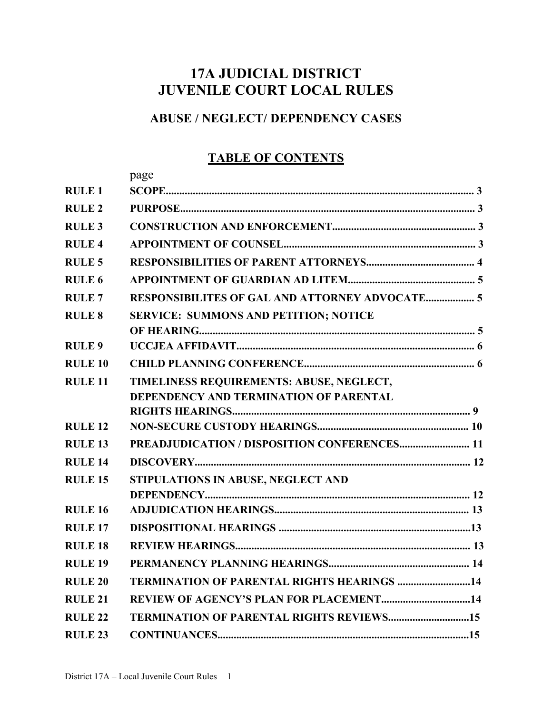# **17A JUDICIAL DISTRICT JUVENILE COURT LOCAL RULES**

## **ABUSE / NEGLECT/ DEPENDENCY CASES**

## **TABLE OF CONTENTS**

|                   | page                                                  |
|-------------------|-------------------------------------------------------|
| <b>RULE 1</b>     |                                                       |
| <b>RULE 2</b>     |                                                       |
| <b>RULE 3</b>     |                                                       |
| <b>RULE 4</b>     |                                                       |
| <b>RULE 5</b>     |                                                       |
| RULE <sub>6</sub> |                                                       |
| <b>RULE7</b>      | <b>RESPONSIBILITES OF GAL AND ATTORNEY ADVOCATE 5</b> |
| <b>RULE 8</b>     | <b>SERVICE: SUMMONS AND PETITION; NOTICE</b>          |
|                   |                                                       |
| <b>RULE 9</b>     |                                                       |
| <b>RULE 10</b>    |                                                       |
| <b>RULE 11</b>    | TIMELINESS REQUIREMENTS: ABUSE, NEGLECT,              |
|                   | <b>DEPENDENCY AND TERMINATION OF PARENTAL</b>         |
|                   |                                                       |
| <b>RULE 12</b>    |                                                       |
| <b>RULE 13</b>    | PREADJUDICATION / DISPOSITION CONFERENCES 11          |
| <b>RULE 14</b>    |                                                       |
| <b>RULE 15</b>    | STIPULATIONS IN ABUSE, NEGLECT AND                    |
|                   |                                                       |
| <b>RULE 16</b>    |                                                       |
| <b>RULE 17</b>    |                                                       |
| <b>RULE 18</b>    |                                                       |
| <b>RULE 19</b>    |                                                       |
| <b>RULE 20</b>    | <b>TERMINATION OF PARENTAL RIGHTS HEARINGS 14</b>     |
| <b>RULE 21</b>    |                                                       |
| <b>RULE 22</b>    | <b>TERMINATION OF PARENTAL RIGHTS REVIEWS15</b>       |
| <b>RULE 23</b>    |                                                       |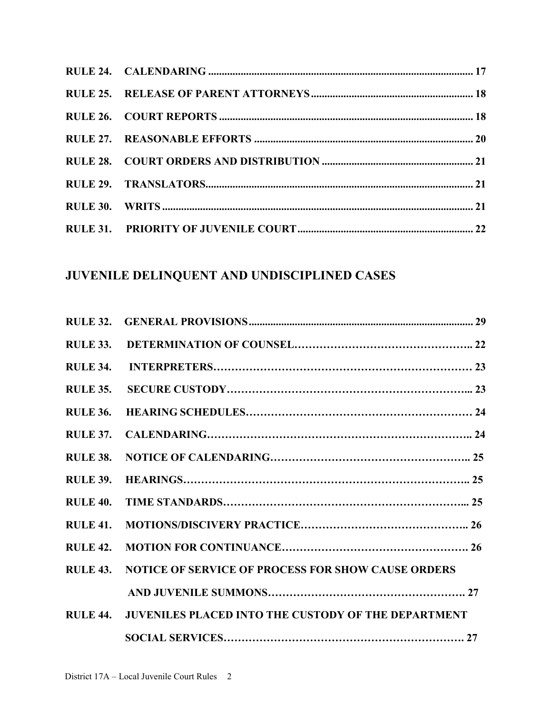# **JUVENILE DELINQUENT AND UNDISCIPLINED CASES**

| <b>RULE 34.</b> |                                                            |  |
|-----------------|------------------------------------------------------------|--|
| <b>RULE 35.</b> |                                                            |  |
| <b>RULE 36.</b> |                                                            |  |
| <b>RULE 37.</b> |                                                            |  |
| <b>RULE 38.</b> |                                                            |  |
| <b>RULE 39.</b> |                                                            |  |
| <b>RULE 40.</b> |                                                            |  |
| <b>RULE 41.</b> |                                                            |  |
| <b>RULE 42.</b> |                                                            |  |
| <b>RULE 43.</b> | <b>NOTICE OF SERVICE OF PROCESS FOR SHOW CAUSE ORDERS</b>  |  |
|                 |                                                            |  |
| <b>RULE 44.</b> | <b>JUVENILES PLACED INTO THE CUSTODY OF THE DEPARTMENT</b> |  |
|                 |                                                            |  |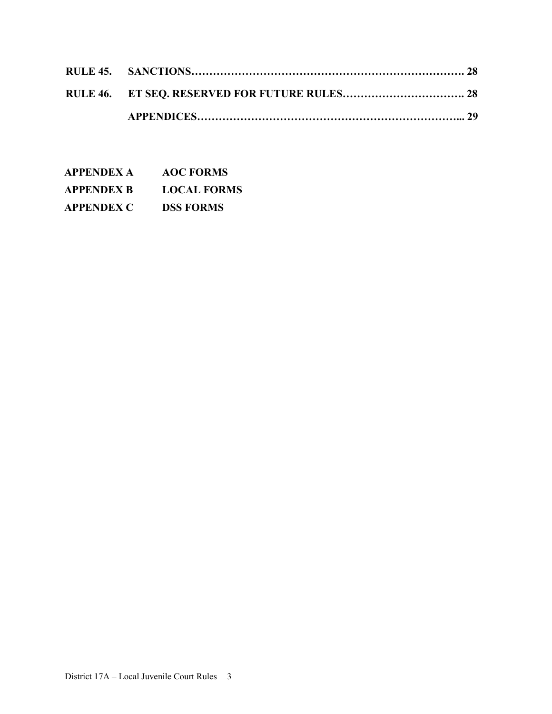| <b>APPENDEX A</b> | <b>AOC FORMS</b>   |
|-------------------|--------------------|
| <b>APPENDEX B</b> | <b>LOCAL FORMS</b> |
| <b>APPENDEX C</b> | <b>DSS FORMS</b>   |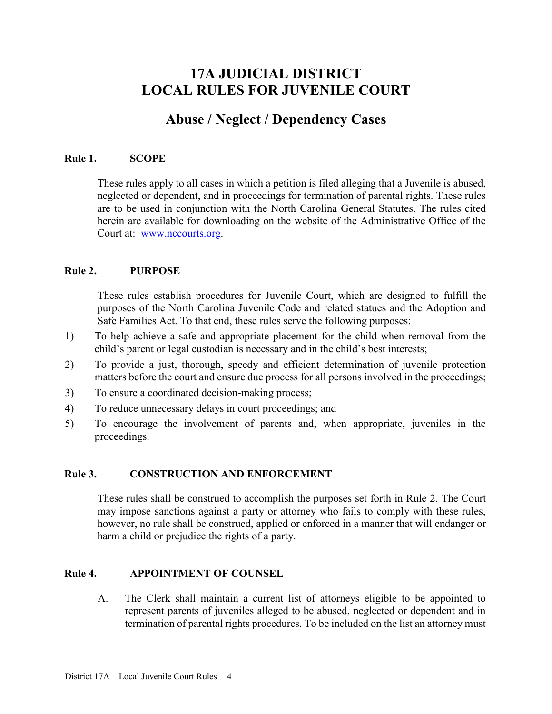## **17A JUDICIAL DISTRICT LOCAL RULES FOR JUVENILE COURT**

## **Abuse / Neglect / Dependency Cases**

#### **Rule 1. SCOPE**

These rules apply to all cases in which a petition is filed alleging that a Juvenile is abused, neglected or dependent, and in proceedings for termination of parental rights. These rules are to be used in conjunction with the North Carolina General Statutes. The rules cited herein are available for downloading on the website of the Administrative Office of the Court at: [www.nccourts.org.](http://www.nccourts.org/)

#### **Rule 2. PURPOSE**

These rules establish procedures for Juvenile Court, which are designed to fulfill the purposes of the North Carolina Juvenile Code and related statues and the Adoption and Safe Families Act. To that end, these rules serve the following purposes:

- 1) To help achieve a safe and appropriate placement for the child when removal from the child's parent or legal custodian is necessary and in the child's best interests;
- 2) To provide a just, thorough, speedy and efficient determination of juvenile protection matters before the court and ensure due process for all persons involved in the proceedings;
- 3) To ensure a coordinated decision-making process;
- 4) To reduce unnecessary delays in court proceedings; and
- 5) To encourage the involvement of parents and, when appropriate, juveniles in the proceedings.

#### **Rule 3. CONSTRUCTION AND ENFORCEMENT**

These rules shall be construed to accomplish the purposes set forth in Rule 2. The Court may impose sanctions against a party or attorney who fails to comply with these rules, however, no rule shall be construed, applied or enforced in a manner that will endanger or harm a child or prejudice the rights of a party.

#### **Rule 4. APPOINTMENT OF COUNSEL**

A. The Clerk shall maintain a current list of attorneys eligible to be appointed to represent parents of juveniles alleged to be abused, neglected or dependent and in termination of parental rights procedures. To be included on the list an attorney must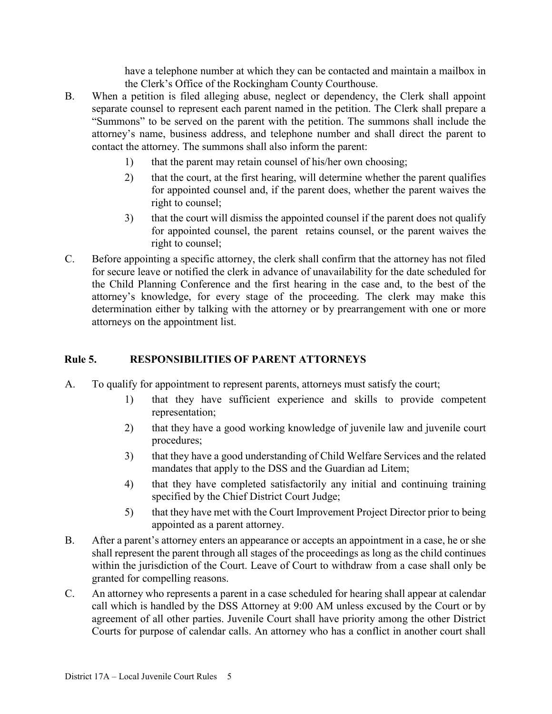have a telephone number at which they can be contacted and maintain a mailbox in the Clerk's Office of the Rockingham County Courthouse.

- B. When a petition is filed alleging abuse, neglect or dependency, the Clerk shall appoint separate counsel to represent each parent named in the petition. The Clerk shall prepare a "Summons" to be served on the parent with the petition. The summons shall include the attorney's name, business address, and telephone number and shall direct the parent to contact the attorney. The summons shall also inform the parent:
	- 1) that the parent may retain counsel of his/her own choosing;
	- 2) that the court, at the first hearing, will determine whether the parent qualifies for appointed counsel and, if the parent does, whether the parent waives the right to counsel;
	- 3) that the court will dismiss the appointed counsel if the parent does not qualify for appointed counsel, the parent retains counsel, or the parent waives the right to counsel;
- C. Before appointing a specific attorney, the clerk shall confirm that the attorney has not filed for secure leave or notified the clerk in advance of unavailability for the date scheduled for the Child Planning Conference and the first hearing in the case and, to the best of the attorney's knowledge, for every stage of the proceeding. The clerk may make this determination either by talking with the attorney or by prearrangement with one or more attorneys on the appointment list.

## **Rule 5. RESPONSIBILITIES OF PARENT ATTORNEYS**

- A. To qualify for appointment to represent parents, attorneys must satisfy the court;
	- 1) that they have sufficient experience and skills to provide competent representation;
	- 2) that they have a good working knowledge of juvenile law and juvenile court procedures;
	- 3) that they have a good understanding of Child Welfare Services and the related mandates that apply to the DSS and the Guardian ad Litem;
	- 4) that they have completed satisfactorily any initial and continuing training specified by the Chief District Court Judge;
	- 5) that they have met with the Court Improvement Project Director prior to being appointed as a parent attorney.
- B. After a parent's attorney enters an appearance or accepts an appointment in a case, he or she shall represent the parent through all stages of the proceedings as long as the child continues within the jurisdiction of the Court. Leave of Court to withdraw from a case shall only be granted for compelling reasons.
- C. An attorney who represents a parent in a case scheduled for hearing shall appear at calendar call which is handled by the DSS Attorney at 9:00 AM unless excused by the Court or by agreement of all other parties. Juvenile Court shall have priority among the other District Courts for purpose of calendar calls. An attorney who has a conflict in another court shall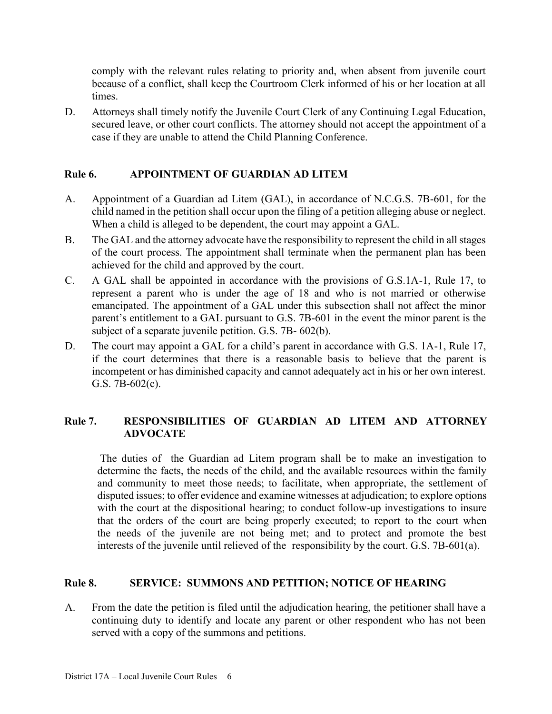comply with the relevant rules relating to priority and, when absent from juvenile court because of a conflict, shall keep the Courtroom Clerk informed of his or her location at all times.

D. Attorneys shall timely notify the Juvenile Court Clerk of any Continuing Legal Education, secured leave, or other court conflicts. The attorney should not accept the appointment of a case if they are unable to attend the Child Planning Conference.

## **Rule 6. APPOINTMENT OF GUARDIAN AD LITEM**

- A. Appointment of a Guardian ad Litem (GAL), in accordance of N.C.G.S. 7B-601, for the child named in the petition shall occur upon the filing of a petition alleging abuse or neglect. When a child is alleged to be dependent, the court may appoint a GAL.
- B. The GAL and the attorney advocate have the responsibility to represent the child in all stages of the court process. The appointment shall terminate when the permanent plan has been achieved for the child and approved by the court.
- C. A GAL shall be appointed in accordance with the provisions of G.S.1A-1, Rule 17, to represent a parent who is under the age of 18 and who is not married or otherwise emancipated. The appointment of a GAL under this subsection shall not affect the minor parent's entitlement to a GAL pursuant to G.S. 7B-601 in the event the minor parent is the subject of a separate juvenile petition. G.S. 7B- 602(b).
- D. The court may appoint a GAL for a child's parent in accordance with G.S. 1A-1, Rule 17, if the court determines that there is a reasonable basis to believe that the parent is incompetent or has diminished capacity and cannot adequately act in his or her own interest. G.S. 7B-602(c).

### **Rule 7. RESPONSIBILITIES OF GUARDIAN AD LITEM AND ATTORNEY ADVOCATE**

The duties of the Guardian ad Litem program shall be to make an investigation to determine the facts, the needs of the child, and the available resources within the family and community to meet those needs; to facilitate, when appropriate, the settlement of disputed issues; to offer evidence and examine witnesses at adjudication; to explore options with the court at the dispositional hearing; to conduct follow-up investigations to insure that the orders of the court are being properly executed; to report to the court when the needs of the juvenile are not being met; and to protect and promote the best interests of the juvenile until relieved of the responsibility by the court. G.S. 7B-601(a).

## **Rule 8. SERVICE: SUMMONS AND PETITION; NOTICE OF HEARING**

A. From the date the petition is filed until the adjudication hearing, the petitioner shall have a continuing duty to identify and locate any parent or other respondent who has not been served with a copy of the summons and petitions.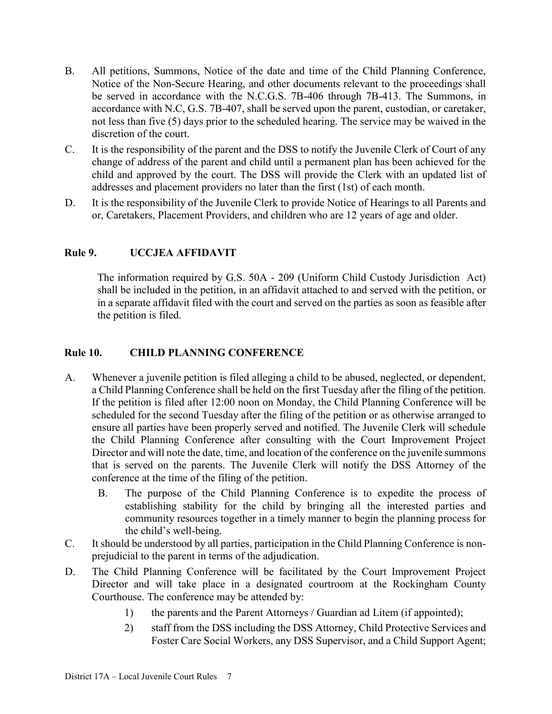- B. All petitions, Summons, Notice of the date and time of the Child Planning Conference, Notice of the Non-Secure Hearing, and other documents relevant to the proceedings shall be served in accordance with the N.C.G.S. 7B-406 through 7B-413. The Summons, in accordance with N.C, G.S. 7B-407, shall be served upon the parent, custodian, or caretaker, not less than five (5) days prior to the scheduled hearing. The service may be waived in the discretion of the court.
- C. It is the responsibility of the parent and the DSS to notify the Juvenile Clerk of Court of any change of address of the parent and child until a permanent plan has been achieved for the child and approved by the court. The DSS will provide the Clerk with an updated list of addresses and placement providers no later than the first (1st) of each month.
- D. It is the responsibility of the Juvenile Clerk to provide Notice of Hearings to all Parents and or, Caretakers, Placement Providers, and children who are 12 years of age and older.

## **Rule 9. UCCJEA AFFIDAVIT**

The information required by G.S. 50A - 209 (Uniform Child Custody Jurisdiction Act) shall be included in the petition, in an affidavit attached to and served with the petition, or in a separate affidavit filed with the court and served on the parties as soon as feasible after the petition is filed.

### **Rule 10. CHILD PLANNING CONFERENCE**

- A. Whenever a juvenile petition is filed alleging a child to be abused, neglected, or dependent, a Child Planning Conference shall be held on the first Tuesday after the filing of the petition. If the petition is filed after 12:00 noon on Monday, the Child Planning Conference will be scheduled for the second Tuesday after the filing of the petition or as otherwise arranged to ensure all parties have been properly served and notified. The Juvenile Clerk will schedule the Child Planning Conference after consulting with the Court Improvement Project Director and will note the date, time, and location of the conference on the juvenile summons that is served on the parents. The Juvenile Clerk will notify the DSS Attorney of the conference at the time of the filing of the petition.
	- B. The purpose of the Child Planning Conference is to expedite the process of establishing stability for the child by bringing all the interested parties and community resources together in a timely manner to begin the planning process for the child's well-being.
- C. It should be understood by all parties, participation in the Child Planning Conference is nonprejudicial to the parent in terms of the adjudication.
- D. The Child Planning Conference will be facilitated by the Court Improvement Project Director and will take place in a designated courtroom at the Rockingham County Courthouse. The conference may be attended by:
	- 1) the parents and the Parent Attorneys / Guardian ad Litem (if appointed);
	- 2) staff from the DSS including the DSS Attorney, Child Protective Services and Foster Care Social Workers, any DSS Supervisor, and a Child Support Agent;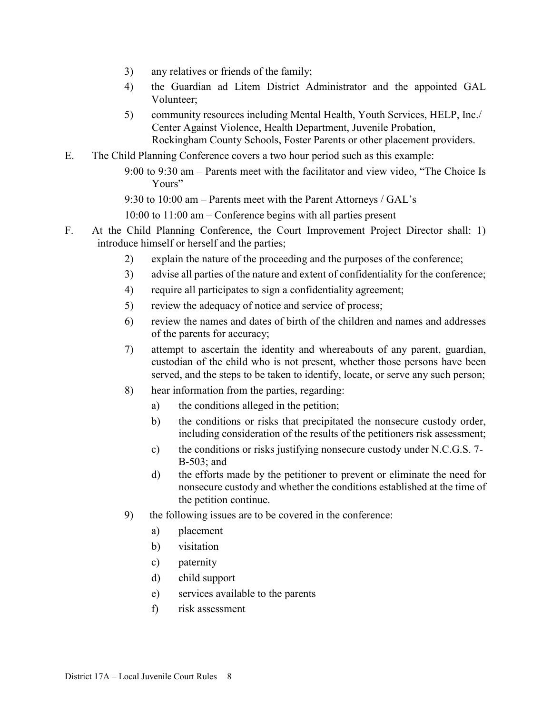- 3) any relatives or friends of the family;
- 4) the Guardian ad Litem District Administrator and the appointed GAL Volunteer;
- 5) community resources including Mental Health, Youth Services, HELP, Inc./ Center Against Violence, Health Department, Juvenile Probation, Rockingham County Schools, Foster Parents or other placement providers.
- E. The Child Planning Conference covers a two hour period such as this example:
	- 9:00 to 9:30 am Parents meet with the facilitator and view video, "The Choice Is Yours"

9:30 to 10:00 am – Parents meet with the Parent Attorneys / GAL's

10:00 to 11:00 am – Conference begins with all parties present

- F. At the Child Planning Conference, the Court Improvement Project Director shall: 1) introduce himself or herself and the parties;
	- 2) explain the nature of the proceeding and the purposes of the conference;
	- 3) advise all parties of the nature and extent of confidentiality for the conference;
	- 4) require all participates to sign a confidentiality agreement;
	- 5) review the adequacy of notice and service of process;
	- 6) review the names and dates of birth of the children and names and addresses of the parents for accuracy;
	- 7) attempt to ascertain the identity and whereabouts of any parent, guardian, custodian of the child who is not present, whether those persons have been served, and the steps to be taken to identify, locate, or serve any such person;
	- 8) hear information from the parties, regarding:
		- a) the conditions alleged in the petition;
		- b) the conditions or risks that precipitated the nonsecure custody order, including consideration of the results of the petitioners risk assessment;
		- c) the conditions or risks justifying nonsecure custody under N.C.G.S. 7- B-503; and
		- d) the efforts made by the petitioner to prevent or eliminate the need for nonsecure custody and whether the conditions established at the time of the petition continue.
	- 9) the following issues are to be covered in the conference:
		- a) placement
		- b) visitation
		- c) paternity
		- d) child support
		- e) services available to the parents
		- f) risk assessment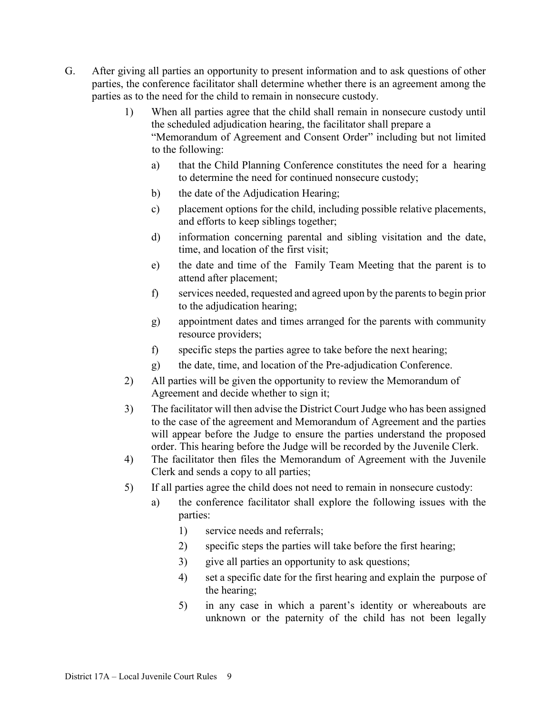- G. After giving all parties an opportunity to present information and to ask questions of other parties, the conference facilitator shall determine whether there is an agreement among the parties as to the need for the child to remain in nonsecure custody.
	- 1) When all parties agree that the child shall remain in nonsecure custody until the scheduled adjudication hearing, the facilitator shall prepare a "Memorandum of Agreement and Consent Order" including but not limited to the following:
		- a) that the Child Planning Conference constitutes the need for a hearing to determine the need for continued nonsecure custody;
		- b) the date of the Adjudication Hearing;
		- c) placement options for the child, including possible relative placements, and efforts to keep siblings together;
		- d) information concerning parental and sibling visitation and the date, time, and location of the first visit;
		- e) the date and time of the Family Team Meeting that the parent is to attend after placement;
		- f) services needed, requested and agreed upon by the parents to begin prior to the adjudication hearing;
		- g) appointment dates and times arranged for the parents with community resource providers;
		- f) specific steps the parties agree to take before the next hearing;
		- g) the date, time, and location of the Pre-adjudication Conference.
	- 2) All parties will be given the opportunity to review the Memorandum of Agreement and decide whether to sign it;
	- 3) The facilitator will then advise the District Court Judge who has been assigned to the case of the agreement and Memorandum of Agreement and the parties will appear before the Judge to ensure the parties understand the proposed order. This hearing before the Judge will be recorded by the Juvenile Clerk.
	- 4) The facilitator then files the Memorandum of Agreement with the Juvenile Clerk and sends a copy to all parties;
	- 5) If all parties agree the child does not need to remain in nonsecure custody:
		- a) the conference facilitator shall explore the following issues with the parties:
			- 1) service needs and referrals;
			- 2) specific steps the parties will take before the first hearing;
			- 3) give all parties an opportunity to ask questions;
			- 4) set a specific date for the first hearing and explain the purpose of the hearing;
			- 5) in any case in which a parent's identity or whereabouts are unknown or the paternity of the child has not been legally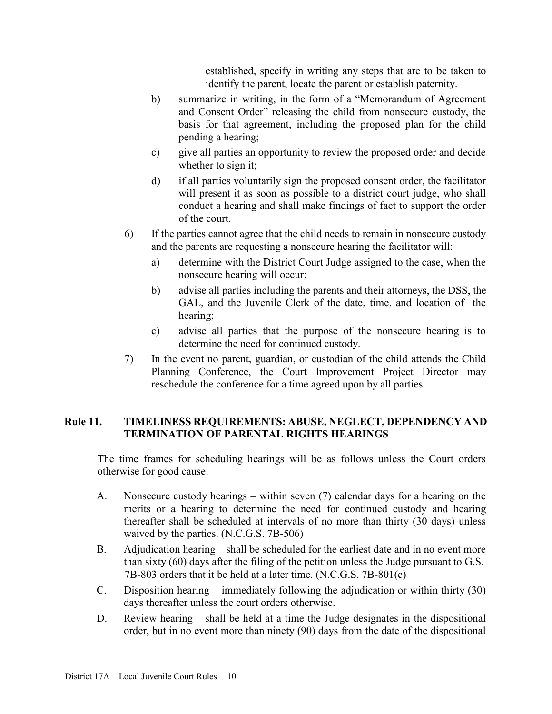established, specify in writing any steps that are to be taken to identify the parent, locate the parent or establish paternity.

- b) summarize in writing, in the form of a "Memorandum of Agreement and Consent Order" releasing the child from nonsecure custody, the basis for that agreement, including the proposed plan for the child pending a hearing;
- c) give all parties an opportunity to review the proposed order and decide whether to sign it;
- d) if all parties voluntarily sign the proposed consent order, the facilitator will present it as soon as possible to a district court judge, who shall conduct a hearing and shall make findings of fact to support the order of the court.
- 6) If the parties cannot agree that the child needs to remain in nonsecure custody and the parents are requesting a nonsecure hearing the facilitator will:
	- a) determine with the District Court Judge assigned to the case, when the nonsecure hearing will occur;
	- b) advise all parties including the parents and their attorneys, the DSS, the GAL, and the Juvenile Clerk of the date, time, and location of the hearing;
	- c) advise all parties that the purpose of the nonsecure hearing is to determine the need for continued custody.
- 7) In the event no parent, guardian, or custodian of the child attends the Child Planning Conference, the Court Improvement Project Director may reschedule the conference for a time agreed upon by all parties.

### **Rule 11. TIMELINESS REQUIREMENTS: ABUSE, NEGLECT, DEPENDENCY AND TERMINATION OF PARENTAL RIGHTS HEARINGS**

The time frames for scheduling hearings will be as follows unless the Court orders otherwise for good cause.

- A. Nonsecure custody hearings within seven (7) calendar days for a hearing on the merits or a hearing to determine the need for continued custody and hearing thereafter shall be scheduled at intervals of no more than thirty (30 days) unless waived by the parties. (N.C.G.S. 7B-506)
- B. Adjudication hearing shall be scheduled for the earliest date and in no event more than sixty (60) days after the filing of the petition unless the Judge pursuant to G.S. 7B-803 orders that it be held at a later time. (N.C.G.S. 7B-801(c)
- C. Disposition hearing immediately following the adjudication or within thirty (30) days thereafter unless the court orders otherwise.
- D. Review hearing shall be held at a time the Judge designates in the dispositional order, but in no event more than ninety (90) days from the date of the dispositional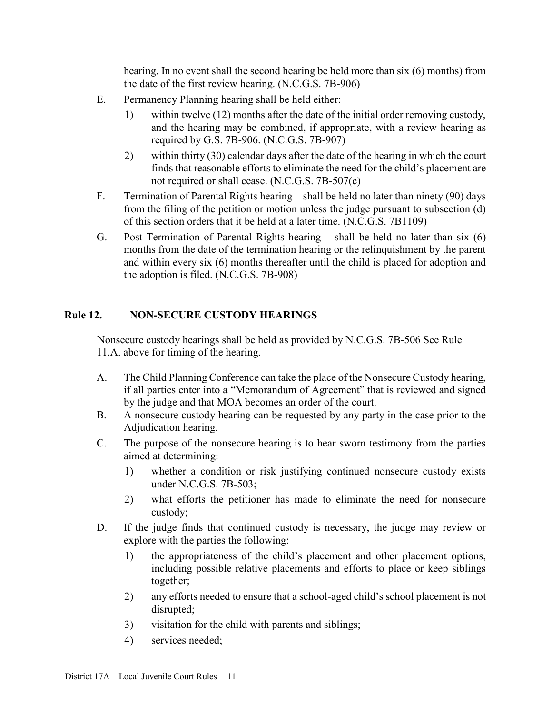hearing. In no event shall the second hearing be held more than six (6) months) from the date of the first review hearing. (N.C.G.S. 7B-906)

- E. Permanency Planning hearing shall be held either:
	- 1) within twelve (12) months after the date of the initial order removing custody, and the hearing may be combined, if appropriate, with a review hearing as required by G.S. 7B-906. (N.C.G.S. 7B-907)
	- 2) within thirty (30) calendar days after the date of the hearing in which the court finds that reasonable efforts to eliminate the need for the child's placement are not required or shall cease. (N.C.G.S. 7B-507(c)
- F. Termination of Parental Rights hearing shall be held no later than ninety (90) days from the filing of the petition or motion unless the judge pursuant to subsection (d) of this section orders that it be held at a later time. (N.C.G.S. 7B1109)
- G. Post Termination of Parental Rights hearing shall be held no later than six (6) months from the date of the termination hearing or the relinquishment by the parent and within every six (6) months thereafter until the child is placed for adoption and the adoption is filed. (N.C.G.S. 7B-908)

## **Rule 12. NON-SECURE CUSTODY HEARINGS**

Nonsecure custody hearings shall be held as provided by N.C.G.S. 7B-506 See Rule 11.A. above for timing of the hearing.

- A. The Child Planning Conference can take the place of the Nonsecure Custody hearing, if all parties enter into a "Memorandum of Agreement" that is reviewed and signed by the judge and that MOA becomes an order of the court.
- B. A nonsecure custody hearing can be requested by any party in the case prior to the Adjudication hearing.
- C. The purpose of the nonsecure hearing is to hear sworn testimony from the parties aimed at determining:
	- 1) whether a condition or risk justifying continued nonsecure custody exists under N.C.G.S. 7B-503;
	- 2) what efforts the petitioner has made to eliminate the need for nonsecure custody;
- D. If the judge finds that continued custody is necessary, the judge may review or explore with the parties the following:
	- 1) the appropriateness of the child's placement and other placement options, including possible relative placements and efforts to place or keep siblings together;
	- 2) any efforts needed to ensure that a school-aged child's school placement is not disrupted;
	- 3) visitation for the child with parents and siblings;
	- 4) services needed;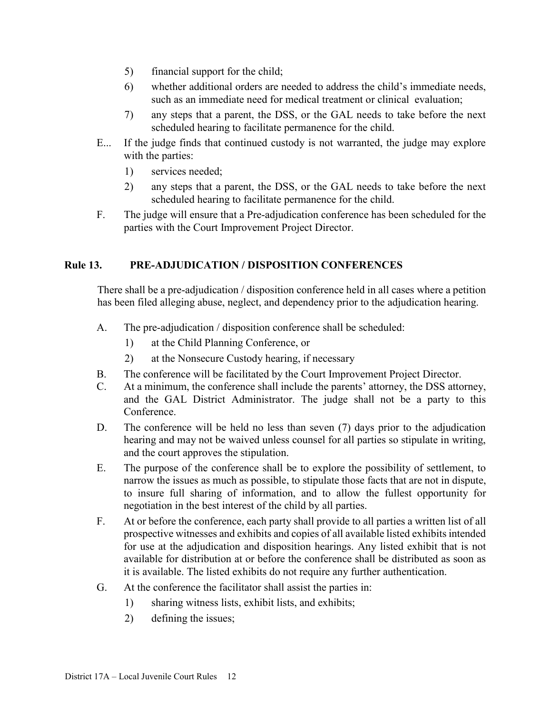- 5) financial support for the child;
- 6) whether additional orders are needed to address the child's immediate needs, such as an immediate need for medical treatment or clinical evaluation;
- 7) any steps that a parent, the DSS, or the GAL needs to take before the next scheduled hearing to facilitate permanence for the child.
- E... If the judge finds that continued custody is not warranted, the judge may explore with the parties:
	- 1) services needed;
	- 2) any steps that a parent, the DSS, or the GAL needs to take before the next scheduled hearing to facilitate permanence for the child.
- F. The judge will ensure that a Pre-adjudication conference has been scheduled for the parties with the Court Improvement Project Director.

## **Rule 13. PRE-ADJUDICATION / DISPOSITION CONFERENCES**

There shall be a pre-adjudication / disposition conference held in all cases where a petition has been filed alleging abuse, neglect, and dependency prior to the adjudication hearing.

- A. The pre-adjudication / disposition conference shall be scheduled:
	- 1) at the Child Planning Conference, or
	- 2) at the Nonsecure Custody hearing, if necessary
- B. The conference will be facilitated by the Court Improvement Project Director.
- C. At a minimum, the conference shall include the parents' attorney, the DSS attorney, and the GAL District Administrator. The judge shall not be a party to this Conference.
- D. The conference will be held no less than seven (7) days prior to the adjudication hearing and may not be waived unless counsel for all parties so stipulate in writing, and the court approves the stipulation.
- E. The purpose of the conference shall be to explore the possibility of settlement, to narrow the issues as much as possible, to stipulate those facts that are not in dispute, to insure full sharing of information, and to allow the fullest opportunity for negotiation in the best interest of the child by all parties.
- F. At or before the conference, each party shall provide to all parties a written list of all prospective witnesses and exhibits and copies of all available listed exhibits intended for use at the adjudication and disposition hearings. Any listed exhibit that is not available for distribution at or before the conference shall be distributed as soon as it is available. The listed exhibits do not require any further authentication.
- G. At the conference the facilitator shall assist the parties in:
	- 1) sharing witness lists, exhibit lists, and exhibits;
	- 2) defining the issues;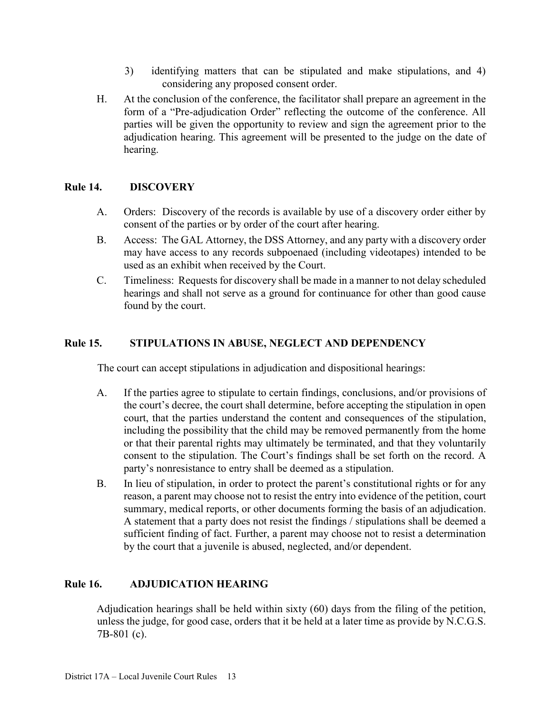- 3) identifying matters that can be stipulated and make stipulations, and 4) considering any proposed consent order.
- H. At the conclusion of the conference, the facilitator shall prepare an agreement in the form of a "Pre-adjudication Order" reflecting the outcome of the conference. All parties will be given the opportunity to review and sign the agreement prior to the adjudication hearing. This agreement will be presented to the judge on the date of hearing.

### **Rule 14. DISCOVERY**

- A. Orders: Discovery of the records is available by use of a discovery order either by consent of the parties or by order of the court after hearing.
- B. Access: The GAL Attorney, the DSS Attorney, and any party with a discovery order may have access to any records subpoenaed (including videotapes) intended to be used as an exhibit when received by the Court.
- C. Timeliness: Requests for discovery shall be made in a manner to not delay scheduled hearings and shall not serve as a ground for continuance for other than good cause found by the court.

## **Rule 15. STIPULATIONS IN ABUSE, NEGLECT AND DEPENDENCY**

The court can accept stipulations in adjudication and dispositional hearings:

- A. If the parties agree to stipulate to certain findings, conclusions, and/or provisions of the court's decree, the court shall determine, before accepting the stipulation in open court, that the parties understand the content and consequences of the stipulation, including the possibility that the child may be removed permanently from the home or that their parental rights may ultimately be terminated, and that they voluntarily consent to the stipulation. The Court's findings shall be set forth on the record. A party's nonresistance to entry shall be deemed as a stipulation.
- B. In lieu of stipulation, in order to protect the parent's constitutional rights or for any reason, a parent may choose not to resist the entry into evidence of the petition, court summary, medical reports, or other documents forming the basis of an adjudication. A statement that a party does not resist the findings / stipulations shall be deemed a sufficient finding of fact. Further, a parent may choose not to resist a determination by the court that a juvenile is abused, neglected, and/or dependent.

## **Rule 16. ADJUDICATION HEARING**

Adjudication hearings shall be held within sixty (60) days from the filing of the petition, unless the judge, for good case, orders that it be held at a later time as provide by N.C.G.S. 7B-801 (c).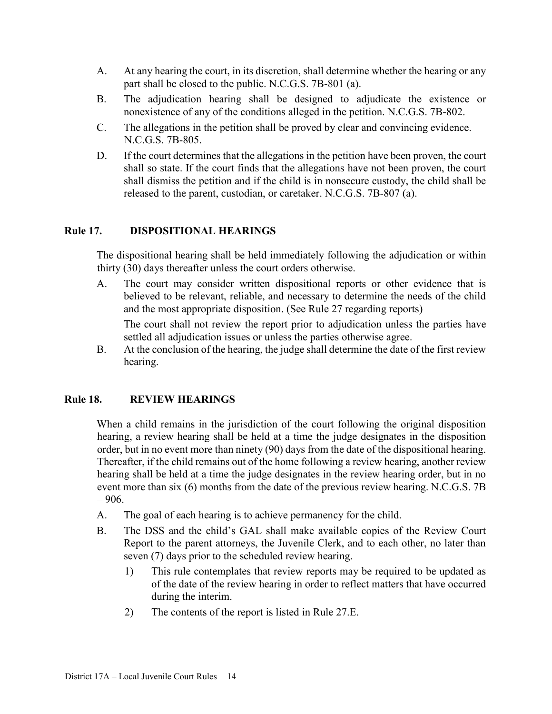- A. At any hearing the court, in its discretion, shall determine whether the hearing or any part shall be closed to the public. N.C.G.S. 7B-801 (a).
- B. The adjudication hearing shall be designed to adjudicate the existence or nonexistence of any of the conditions alleged in the petition. N.C.G.S. 7B-802.
- C. The allegations in the petition shall be proved by clear and convincing evidence. N.C.G.S. 7B-805.
- D. If the court determines that the allegations in the petition have been proven, the court shall so state. If the court finds that the allegations have not been proven, the court shall dismiss the petition and if the child is in nonsecure custody, the child shall be released to the parent, custodian, or caretaker. N.C.G.S. 7B-807 (a).

## **Rule 17. DISPOSITIONAL HEARINGS**

The dispositional hearing shall be held immediately following the adjudication or within thirty (30) days thereafter unless the court orders otherwise.

A. The court may consider written dispositional reports or other evidence that is believed to be relevant, reliable, and necessary to determine the needs of the child and the most appropriate disposition. (See Rule 27 regarding reports)

 The court shall not review the report prior to adjudication unless the parties have settled all adjudication issues or unless the parties otherwise agree.

B. At the conclusion of the hearing, the judge shall determine the date of the first review hearing.

### **Rule 18. REVIEW HEARINGS**

When a child remains in the jurisdiction of the court following the original disposition hearing, a review hearing shall be held at a time the judge designates in the disposition order, but in no event more than ninety (90) days from the date of the dispositional hearing. Thereafter, if the child remains out of the home following a review hearing, another review hearing shall be held at a time the judge designates in the review hearing order, but in no event more than six (6) months from the date of the previous review hearing. N.C.G.S. 7B  $-906.$ 

- A. The goal of each hearing is to achieve permanency for the child.
- B. The DSS and the child's GAL shall make available copies of the Review Court Report to the parent attorneys, the Juvenile Clerk, and to each other, no later than seven (7) days prior to the scheduled review hearing.
	- 1) This rule contemplates that review reports may be required to be updated as of the date of the review hearing in order to reflect matters that have occurred during the interim.
	- 2) The contents of the report is listed in Rule 27.E.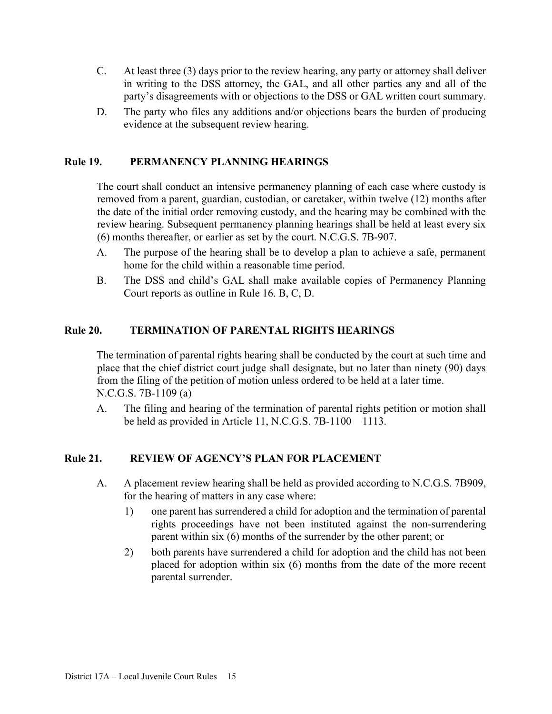- C. At least three (3) days prior to the review hearing, any party or attorney shall deliver in writing to the DSS attorney, the GAL, and all other parties any and all of the party's disagreements with or objections to the DSS or GAL written court summary.
- D. The party who files any additions and/or objections bears the burden of producing evidence at the subsequent review hearing.

#### **Rule 19. PERMANENCY PLANNING HEARINGS**

The court shall conduct an intensive permanency planning of each case where custody is removed from a parent, guardian, custodian, or caretaker, within twelve (12) months after the date of the initial order removing custody, and the hearing may be combined with the review hearing. Subsequent permanency planning hearings shall be held at least every six (6) months thereafter, or earlier as set by the court. N.C.G.S. 7B-907.

- A. The purpose of the hearing shall be to develop a plan to achieve a safe, permanent home for the child within a reasonable time period.
- B. The DSS and child's GAL shall make available copies of Permanency Planning Court reports as outline in Rule 16. B, C, D.

#### **Rule 20. TERMINATION OF PARENTAL RIGHTS HEARINGS**

The termination of parental rights hearing shall be conducted by the court at such time and place that the chief district court judge shall designate, but no later than ninety (90) days from the filing of the petition of motion unless ordered to be held at a later time. N.C.G.S. 7B-1109 (a)

A. The filing and hearing of the termination of parental rights petition or motion shall be held as provided in Article 11, N.C.G.S. 7B-1100 – 1113.

### **Rule 21. REVIEW OF AGENCY'S PLAN FOR PLACEMENT**

- A. A placement review hearing shall be held as provided according to N.C.G.S. 7B909, for the hearing of matters in any case where:
	- 1) one parent has surrendered a child for adoption and the termination of parental rights proceedings have not been instituted against the non-surrendering parent within six (6) months of the surrender by the other parent; or
	- 2) both parents have surrendered a child for adoption and the child has not been placed for adoption within six (6) months from the date of the more recent parental surrender.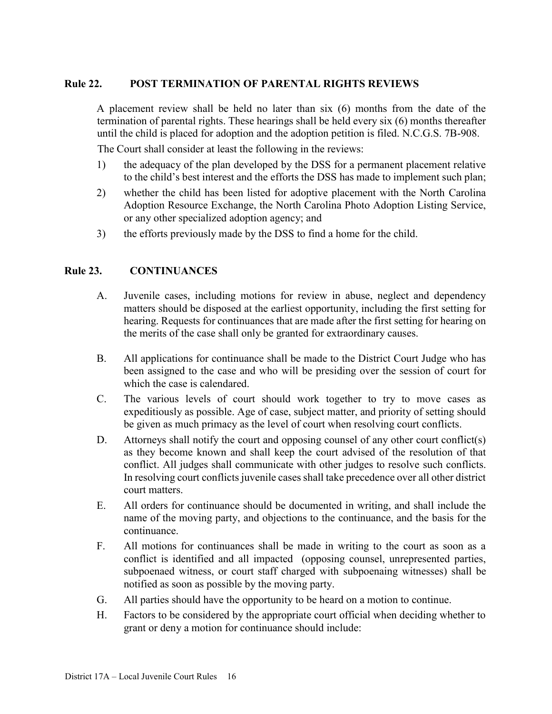#### **Rule 22. POST TERMINATION OF PARENTAL RIGHTS REVIEWS**

A placement review shall be held no later than six (6) months from the date of the termination of parental rights. These hearings shall be held every six (6) months thereafter until the child is placed for adoption and the adoption petition is filed. N.C.G.S. 7B-908.

The Court shall consider at least the following in the reviews:

- 1) the adequacy of the plan developed by the DSS for a permanent placement relative to the child's best interest and the efforts the DSS has made to implement such plan;
- 2) whether the child has been listed for adoptive placement with the North Carolina Adoption Resource Exchange, the North Carolina Photo Adoption Listing Service, or any other specialized adoption agency; and
- 3) the efforts previously made by the DSS to find a home for the child.

#### **Rule 23. CONTINUANCES**

- A. Juvenile cases, including motions for review in abuse, neglect and dependency matters should be disposed at the earliest opportunity, including the first setting for hearing. Requests for continuances that are made after the first setting for hearing on the merits of the case shall only be granted for extraordinary causes.
- B. All applications for continuance shall be made to the District Court Judge who has been assigned to the case and who will be presiding over the session of court for which the case is calendared.
- C. The various levels of court should work together to try to move cases as expeditiously as possible. Age of case, subject matter, and priority of setting should be given as much primacy as the level of court when resolving court conflicts.
- D. Attorneys shall notify the court and opposing counsel of any other court conflict(s) as they become known and shall keep the court advised of the resolution of that conflict. All judges shall communicate with other judges to resolve such conflicts. In resolving court conflicts juvenile cases shall take precedence over all other district court matters.
- E. All orders for continuance should be documented in writing, and shall include the name of the moving party, and objections to the continuance, and the basis for the continuance.
- F. All motions for continuances shall be made in writing to the court as soon as a conflict is identified and all impacted (opposing counsel, unrepresented parties, subpoenaed witness, or court staff charged with subpoenaing witnesses) shall be notified as soon as possible by the moving party.
- G. All parties should have the opportunity to be heard on a motion to continue.
- H. Factors to be considered by the appropriate court official when deciding whether to grant or deny a motion for continuance should include: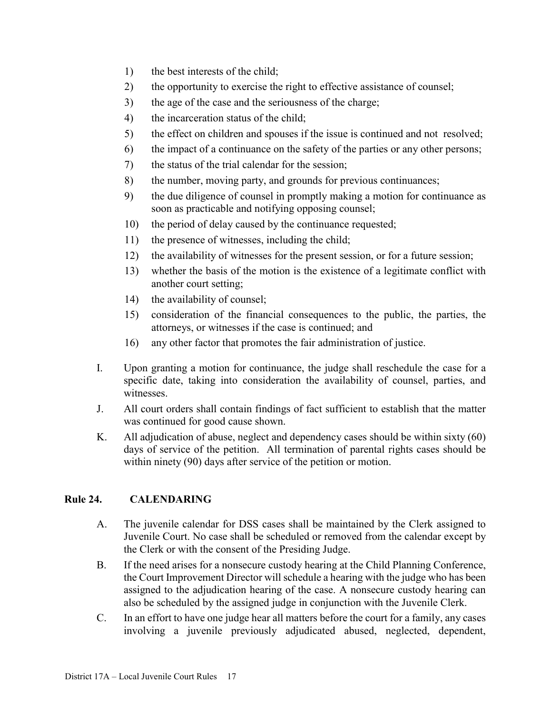- 1) the best interests of the child;
- 2) the opportunity to exercise the right to effective assistance of counsel;
- 3) the age of the case and the seriousness of the charge;
- 4) the incarceration status of the child;
- 5) the effect on children and spouses if the issue is continued and not resolved;
- 6) the impact of a continuance on the safety of the parties or any other persons;
- 7) the status of the trial calendar for the session;
- 8) the number, moving party, and grounds for previous continuances;
- 9) the due diligence of counsel in promptly making a motion for continuance as soon as practicable and notifying opposing counsel;
- 10) the period of delay caused by the continuance requested;
- 11) the presence of witnesses, including the child;
- 12) the availability of witnesses for the present session, or for a future session;
- 13) whether the basis of the motion is the existence of a legitimate conflict with another court setting;
- 14) the availability of counsel;
- 15) consideration of the financial consequences to the public, the parties, the attorneys, or witnesses if the case is continued; and
- 16) any other factor that promotes the fair administration of justice.
- I. Upon granting a motion for continuance, the judge shall reschedule the case for a specific date, taking into consideration the availability of counsel, parties, and witnesses.
- J. All court orders shall contain findings of fact sufficient to establish that the matter was continued for good cause shown.
- K. All adjudication of abuse, neglect and dependency cases should be within sixty (60) days of service of the petition. All termination of parental rights cases should be within ninety (90) days after service of the petition or motion.

### <span id="page-16-0"></span>**Rule 24. CALENDARING**

- A. The juvenile calendar for DSS cases shall be maintained by the Clerk assigned to Juvenile Court. No case shall be scheduled or removed from the calendar except by the Clerk or with the consent of the Presiding Judge.
- B. If the need arises for a nonsecure custody hearing at the Child Planning Conference, the Court Improvement Director will schedule a hearing with the judge who has been assigned to the adjudication hearing of the case. A nonsecure custody hearing can also be scheduled by the assigned judge in conjunction with the Juvenile Clerk.
- C. In an effort to have one judge hear all matters before the court for a family, any cases involving a juvenile previously adjudicated abused, neglected, dependent,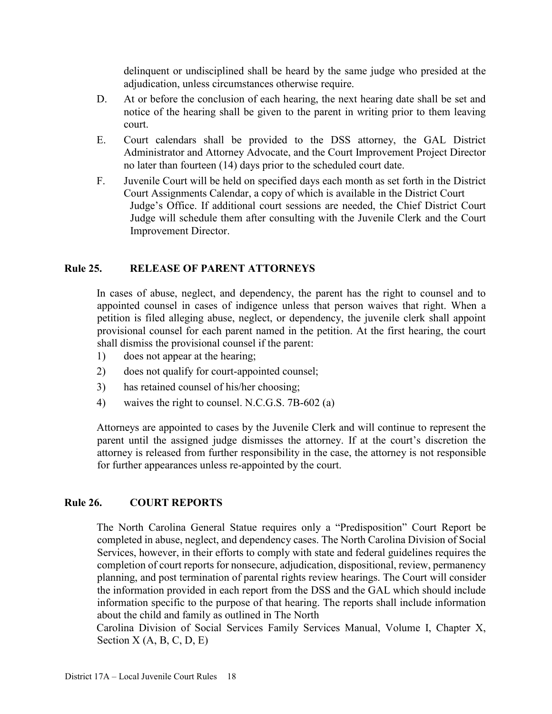delinquent or undisciplined shall be heard by the same judge who presided at the adjudication, unless circumstances otherwise require.

- D. At or before the conclusion of each hearing, the next hearing date shall be set and notice of the hearing shall be given to the parent in writing prior to them leaving court.
- E. Court calendars shall be provided to the DSS attorney, the GAL District Administrator and Attorney Advocate, and the Court Improvement Project Director no later than fourteen (14) days prior to the scheduled court date.
- F. Juvenile Court will be held on specified days each month as set forth in the District Court Assignments Calendar, a copy of which is available in the District Court Judge's Office. If additional court sessions are needed, the Chief District Court Judge will schedule them after consulting with the Juvenile Clerk and the Court Improvement Director.

## <span id="page-17-0"></span>**Rule 25. RELEASE OF PARENT ATTORNEYS**

In cases of abuse, neglect, and dependency, the parent has the right to counsel and to appointed counsel in cases of indigence unless that person waives that right. When a petition is filed alleging abuse, neglect, or dependency, the juvenile clerk shall appoint provisional counsel for each parent named in the petition. At the first hearing, the court shall dismiss the provisional counsel if the parent:

- 1) does not appear at the hearing;
- 2) does not qualify for court-appointed counsel;
- 3) has retained counsel of his/her choosing;
- 4) waives the right to counsel. N.C.G.S. 7B-602 (a)

Attorneys are appointed to cases by the Juvenile Clerk and will continue to represent the parent until the assigned judge dismisses the attorney. If at the court's discretion the attorney is released from further responsibility in the case, the attorney is not responsible for further appearances unless re-appointed by the court.

### <span id="page-17-1"></span>**Rule 26. COURT REPORTS**

The North Carolina General Statue requires only a "Predisposition" Court Report be completed in abuse, neglect, and dependency cases. The North Carolina Division of Social Services, however, in their efforts to comply with state and federal guidelines requires the completion of court reports for nonsecure, adjudication, dispositional, review, permanency planning, and post termination of parental rights review hearings. The Court will consider the information provided in each report from the DSS and the GAL which should include information specific to the purpose of that hearing. The reports shall include information about the child and family as outlined in The North

Carolina Division of Social Services Family Services Manual, Volume I, Chapter X, Section  $X(A, B, C, D, E)$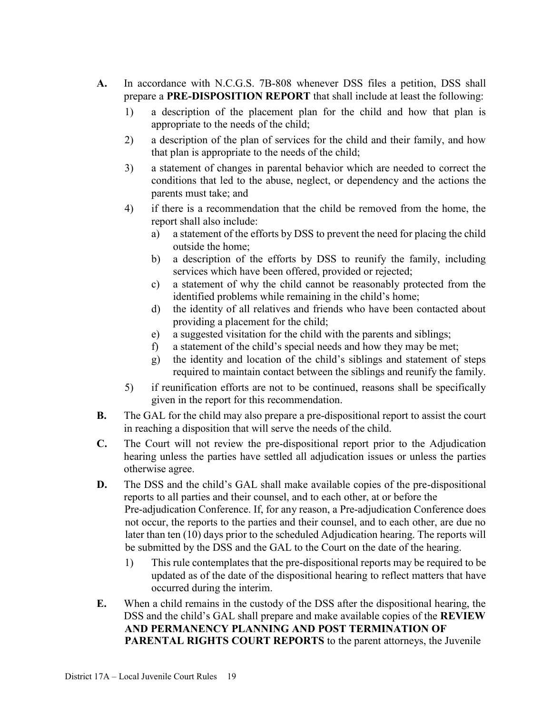- **A.** In accordance with N.C.G.S. 7B-808 whenever DSS files a petition, DSS shall prepare a **PRE-DISPOSITION REPORT** that shall include at least the following:
	- 1) a description of the placement plan for the child and how that plan is appropriate to the needs of the child;
	- 2) a description of the plan of services for the child and their family, and how that plan is appropriate to the needs of the child;
	- 3) a statement of changes in parental behavior which are needed to correct the conditions that led to the abuse, neglect, or dependency and the actions the parents must take; and
	- 4) if there is a recommendation that the child be removed from the home, the report shall also include:
		- a) a statement of the efforts by DSS to prevent the need for placing the child outside the home;
		- b) a description of the efforts by DSS to reunify the family, including services which have been offered, provided or rejected;
		- c) a statement of why the child cannot be reasonably protected from the identified problems while remaining in the child's home;
		- d) the identity of all relatives and friends who have been contacted about providing a placement for the child;
		- e) a suggested visitation for the child with the parents and siblings;
		- f) a statement of the child's special needs and how they may be met;
		- g) the identity and location of the child's siblings and statement of steps required to maintain contact between the siblings and reunify the family.
	- 5) if reunification efforts are not to be continued, reasons shall be specifically given in the report for this recommendation.
- **B.** The GAL for the child may also prepare a pre-dispositional report to assist the court in reaching a disposition that will serve the needs of the child.
- **C.** The Court will not review the pre-dispositional report prior to the Adjudication hearing unless the parties have settled all adjudication issues or unless the parties otherwise agree.
- **D.** The DSS and the child's GAL shall make available copies of the pre-dispositional reports to all parties and their counsel, and to each other, at or before the Pre-adjudication Conference. If, for any reason, a Pre-adjudication Conference does not occur, the reports to the parties and their counsel, and to each other, are due no later than ten (10) days prior to the scheduled Adjudication hearing. The reports will be submitted by the DSS and the GAL to the Court on the date of the hearing.
	- 1) This rule contemplates that the pre-dispositional reports may be required to be updated as of the date of the dispositional hearing to reflect matters that have occurred during the interim.
- **E.** When a child remains in the custody of the DSS after the dispositional hearing, the DSS and the child's GAL shall prepare and make available copies of the **REVIEW AND PERMANENCY PLANNING AND POST TERMINATION OF PARENTAL RIGHTS COURT REPORTS** to the parent attorneys, the Juvenile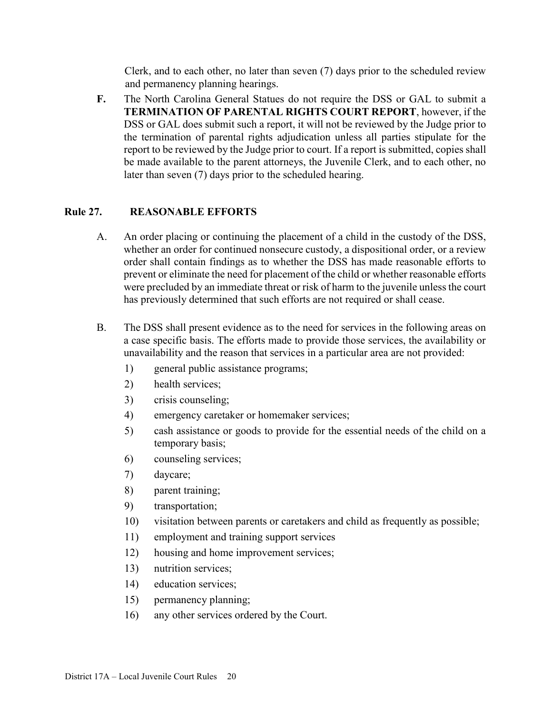Clerk, and to each other, no later than seven (7) days prior to the scheduled review and permanency planning hearings.

**F.** The North Carolina General Statues do not require the DSS or GAL to submit a **TERMINATION OF PARENTAL RIGHTS COURT REPORT**, however, if the DSS or GAL does submit such a report, it will not be reviewed by the Judge prior to the termination of parental rights adjudication unless all parties stipulate for the report to be reviewed by the Judge prior to court. If a report is submitted, copies shall be made available to the parent attorneys, the Juvenile Clerk, and to each other, no later than seven (7) days prior to the scheduled hearing.

### <span id="page-19-0"></span>**Rule 27. REASONABLE EFFORTS**

- A. An order placing or continuing the placement of a child in the custody of the DSS, whether an order for continued nonsecure custody, a dispositional order, or a review order shall contain findings as to whether the DSS has made reasonable efforts to prevent or eliminate the need for placement of the child or whether reasonable efforts were precluded by an immediate threat or risk of harm to the juvenile unless the court has previously determined that such efforts are not required or shall cease.
- B. The DSS shall present evidence as to the need for services in the following areas on a case specific basis. The efforts made to provide those services, the availability or unavailability and the reason that services in a particular area are not provided:
	- 1) general public assistance programs;
	- 2) health services;
	- 3) crisis counseling;
	- 4) emergency caretaker or homemaker services;
	- 5) cash assistance or goods to provide for the essential needs of the child on a temporary basis;
	- 6) counseling services;
	- 7) daycare;
	- 8) parent training;
	- 9) transportation;
	- 10) visitation between parents or caretakers and child as frequently as possible;
	- 11) employment and training support services
	- 12) housing and home improvement services;
	- 13) nutrition services;
	- 14) education services;
	- 15) permanency planning;
	- 16) any other services ordered by the Court.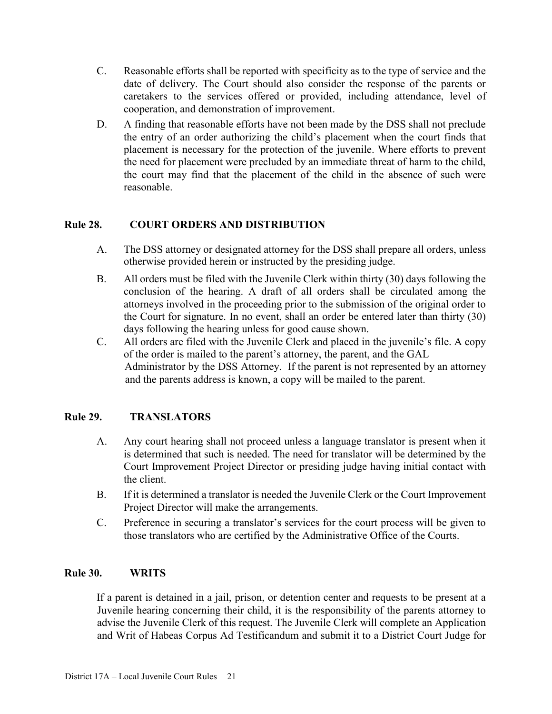- C. Reasonable efforts shall be reported with specificity as to the type of service and the date of delivery. The Court should also consider the response of the parents or caretakers to the services offered or provided, including attendance, level of cooperation, and demonstration of improvement.
- D. A finding that reasonable efforts have not been made by the DSS shall not preclude the entry of an order authorizing the child's placement when the court finds that placement is necessary for the protection of the juvenile. Where efforts to prevent the need for placement were precluded by an immediate threat of harm to the child, the court may find that the placement of the child in the absence of such were reasonable.

## <span id="page-20-0"></span>**Rule 28. COURT ORDERS AND DISTRIBUTION**

- A. The DSS attorney or designated attorney for the DSS shall prepare all orders, unless otherwise provided herein or instructed by the presiding judge.
- B. All orders must be filed with the Juvenile Clerk within thirty (30) days following the conclusion of the hearing. A draft of all orders shall be circulated among the attorneys involved in the proceeding prior to the submission of the original order to the Court for signature. In no event, shall an order be entered later than thirty (30) days following the hearing unless for good cause shown.
- C. All orders are filed with the Juvenile Clerk and placed in the juvenile's file. A copy of the order is mailed to the parent's attorney, the parent, and the GAL Administrator by the DSS Attorney. If the parent is not represented by an attorney and the parents address is known, a copy will be mailed to the parent.

## <span id="page-20-1"></span>**Rule 29. TRANSLATORS**

- A. Any court hearing shall not proceed unless a language translator is present when it is determined that such is needed. The need for translator will be determined by the Court Improvement Project Director or presiding judge having initial contact with the client.
- B. If it is determined a translator is needed the Juvenile Clerk or the Court Improvement Project Director will make the arrangements.
- C. Preference in securing a translator's services for the court process will be given to those translators who are certified by the Administrative Office of the Courts.

### <span id="page-20-2"></span>**Rule 30. WRITS**

If a parent is detained in a jail, prison, or detention center and requests to be present at a Juvenile hearing concerning their child, it is the responsibility of the parents attorney to advise the Juvenile Clerk of this request. The Juvenile Clerk will complete an Application and Writ of Habeas Corpus Ad Testificandum and submit it to a District Court Judge for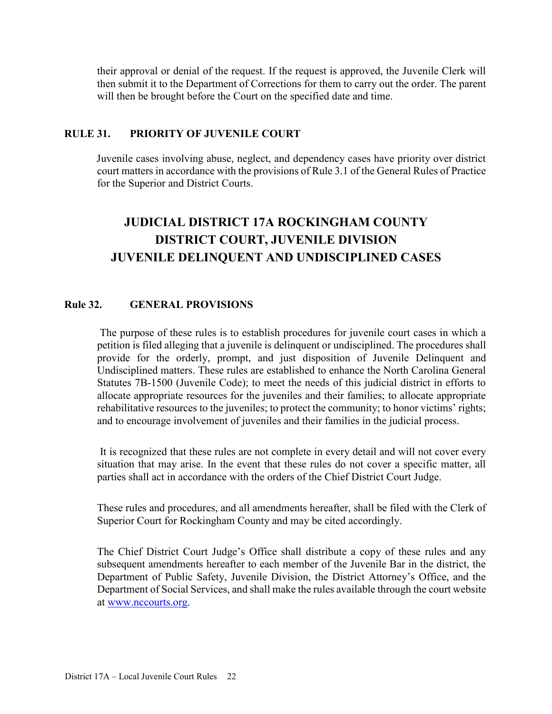their approval or denial of the request. If the request is approved, the Juvenile Clerk will then submit it to the Department of Corrections for them to carry out the order. The parent will then be brought before the Court on the specified date and time.

### <span id="page-21-0"></span>**RULE 31. PRIORITY OF JUVENILE COURT**

Juvenile cases involving abuse, neglect, and dependency cases have priority over district court matters in accordance with the provisions of Rule 3.1 of the General Rules of Practice for the Superior and District Courts.

# **JUDICIAL DISTRICT 17A ROCKINGHAM COUNTY DISTRICT COURT, JUVENILE DIVISION JUVENILE DELINQUENT AND UNDISCIPLINED CASES**

### **Rule 32. GENERAL PROVISIONS**

The purpose of these rules is to establish procedures for juvenile court cases in which a petition is filed alleging that a juvenile is delinquent or undisciplined. The procedures shall provide for the orderly, prompt, and just disposition of Juvenile Delinquent and Undisciplined matters. These rules are established to enhance the North Carolina General Statutes 7B-1500 (Juvenile Code); to meet the needs of this judicial district in efforts to allocate appropriate resources for the juveniles and their families; to allocate appropriate rehabilitative resources to the juveniles; to protect the community; to honor victims' rights; and to encourage involvement of juveniles and their families in the judicial process.

It is recognized that these rules are not complete in every detail and will not cover every situation that may arise. In the event that these rules do not cover a specific matter, all parties shall act in accordance with the orders of the Chief District Court Judge.

These rules and procedures, and all amendments hereafter, shall be filed with the Clerk of Superior Court for Rockingham County and may be cited accordingly.

The Chief District Court Judge's Office shall distribute a copy of these rules and any subsequent amendments hereafter to each member of the Juvenile Bar in the district, the Department of Public Safety, Juvenile Division, the District Attorney's Office, and the Department of Social Services, and shall make the rules available through the court website at [www.nccourts.org.](http://www.nccourts.org/)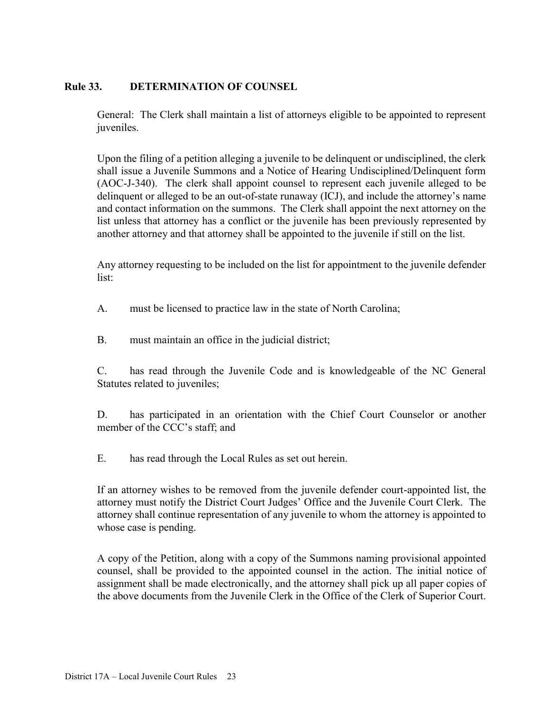## **Rule 33. DETERMINATION OF COUNSEL**

General: The Clerk shall maintain a list of attorneys eligible to be appointed to represent juveniles.

Upon the filing of a petition alleging a juvenile to be delinquent or undisciplined, the clerk shall issue a Juvenile Summons and a Notice of Hearing Undisciplined/Delinquent form (AOC-J-340). The clerk shall appoint counsel to represent each juvenile alleged to be delinquent or alleged to be an out-of-state runaway (ICJ), and include the attorney's name and contact information on the summons. The Clerk shall appoint the next attorney on the list unless that attorney has a conflict or the juvenile has been previously represented by another attorney and that attorney shall be appointed to the juvenile if still on the list.

Any attorney requesting to be included on the list for appointment to the juvenile defender list:

- A. must be licensed to practice law in the state of North Carolina;
- B. must maintain an office in the judicial district;

C. has read through the Juvenile Code and is knowledgeable of the NC General Statutes related to juveniles;

D. has participated in an orientation with the Chief Court Counselor or another member of the CCC's staff; and

E. has read through the Local Rules as set out herein.

If an attorney wishes to be removed from the juvenile defender court-appointed list, the attorney must notify the District Court Judges' Office and the Juvenile Court Clerk. The attorney shall continue representation of any juvenile to whom the attorney is appointed to whose case is pending.

A copy of the Petition, along with a copy of the Summons naming provisional appointed counsel, shall be provided to the appointed counsel in the action. The initial notice of assignment shall be made electronically, and the attorney shall pick up all paper copies of the above documents from the Juvenile Clerk in the Office of the Clerk of Superior Court.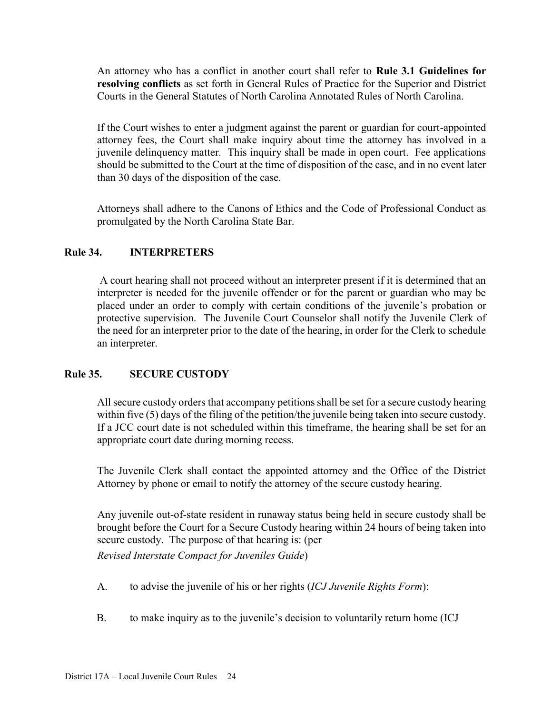An attorney who has a conflict in another court shall refer to **Rule 3.1 Guidelines for resolving conflicts** as set forth in General Rules of Practice for the Superior and District Courts in the General Statutes of North Carolina Annotated Rules of North Carolina.

If the Court wishes to enter a judgment against the parent or guardian for court-appointed attorney fees, the Court shall make inquiry about time the attorney has involved in a juvenile delinquency matter. This inquiry shall be made in open court. Fee applications should be submitted to the Court at the time of disposition of the case, and in no event later than 30 days of the disposition of the case.

Attorneys shall adhere to the Canons of Ethics and the Code of Professional Conduct as promulgated by the North Carolina State Bar.

## **Rule 34. INTERPRETERS**

A court hearing shall not proceed without an interpreter present if it is determined that an interpreter is needed for the juvenile offender or for the parent or guardian who may be placed under an order to comply with certain conditions of the juvenile's probation or protective supervision. The Juvenile Court Counselor shall notify the Juvenile Clerk of the need for an interpreter prior to the date of the hearing, in order for the Clerk to schedule an interpreter.

### **Rule 35. SECURE CUSTODY**

All secure custody orders that accompany petitions shall be set for a secure custody hearing within five (5) days of the filing of the petition/the juvenile being taken into secure custody. If a JCC court date is not scheduled within this timeframe, the hearing shall be set for an appropriate court date during morning recess.

The Juvenile Clerk shall contact the appointed attorney and the Office of the District Attorney by phone or email to notify the attorney of the secure custody hearing.

Any juvenile out-of-state resident in runaway status being held in secure custody shall be brought before the Court for a Secure Custody hearing within 24 hours of being taken into secure custody. The purpose of that hearing is: (per

*Revised Interstate Compact for Juveniles Guide*)

- A. to advise the juvenile of his or her rights (*ICJ Juvenile Rights Form*):
- B. to make inquiry as to the juvenile's decision to voluntarily return home (ICJ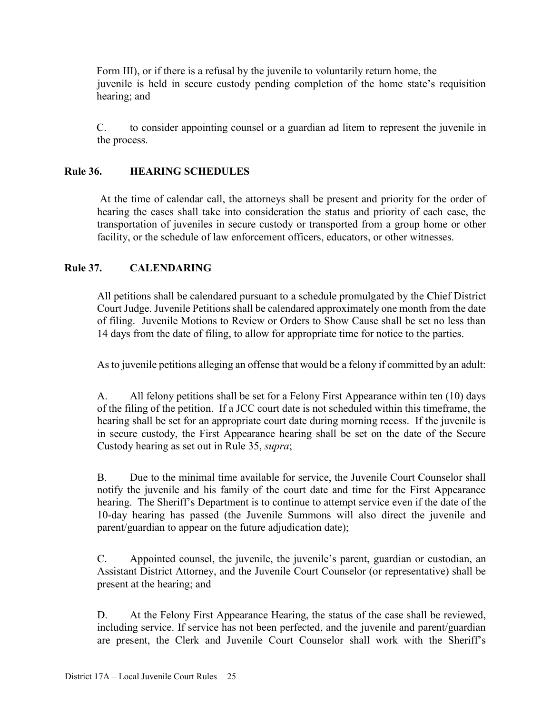Form III), or if there is a refusal by the juvenile to voluntarily return home, the juvenile is held in secure custody pending completion of the home state's requisition hearing; and

C. to consider appointing counsel or a guardian ad litem to represent the juvenile in the process.

## **Rule 36. HEARING SCHEDULES**

At the time of calendar call, the attorneys shall be present and priority for the order of hearing the cases shall take into consideration the status and priority of each case, the transportation of juveniles in secure custody or transported from a group home or other facility, or the schedule of law enforcement officers, educators, or other witnesses.

## **Rule 37. CALENDARING**

All petitions shall be calendared pursuant to a schedule promulgated by the Chief District Court Judge. Juvenile Petitions shall be calendared approximately one month from the date of filing. Juvenile Motions to Review or Orders to Show Cause shall be set no less than 14 days from the date of filing, to allow for appropriate time for notice to the parties.

As to juvenile petitions alleging an offense that would be a felony if committed by an adult:

A. All felony petitions shall be set for a Felony First Appearance within ten (10) days of the filing of the petition. If a JCC court date is not scheduled within this timeframe, the hearing shall be set for an appropriate court date during morning recess. If the juvenile is in secure custody, the First Appearance hearing shall be set on the date of the Secure Custody hearing as set out in Rule 35, *supra*;

B. Due to the minimal time available for service, the Juvenile Court Counselor shall notify the juvenile and his family of the court date and time for the First Appearance hearing. The Sheriff's Department is to continue to attempt service even if the date of the 10-day hearing has passed (the Juvenile Summons will also direct the juvenile and parent/guardian to appear on the future adjudication date);

C. Appointed counsel, the juvenile, the juvenile's parent, guardian or custodian, an Assistant District Attorney, and the Juvenile Court Counselor (or representative) shall be present at the hearing; and

D. At the Felony First Appearance Hearing, the status of the case shall be reviewed, including service. If service has not been perfected, and the juvenile and parent/guardian are present, the Clerk and Juvenile Court Counselor shall work with the Sheriff's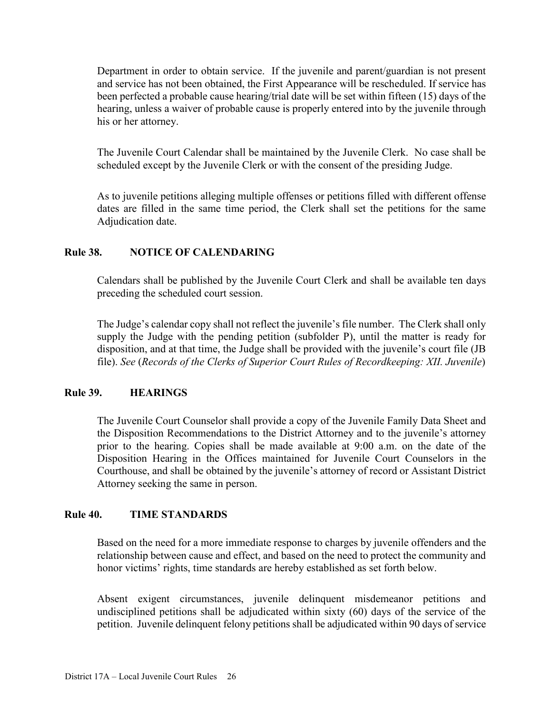Department in order to obtain service. If the juvenile and parent/guardian is not present and service has not been obtained, the First Appearance will be rescheduled. If service has been perfected a probable cause hearing/trial date will be set within fifteen (15) days of the hearing, unless a waiver of probable cause is properly entered into by the juvenile through his or her attorney.

The Juvenile Court Calendar shall be maintained by the Juvenile Clerk. No case shall be scheduled except by the Juvenile Clerk or with the consent of the presiding Judge.

As to juvenile petitions alleging multiple offenses or petitions filled with different offense dates are filled in the same time period, the Clerk shall set the petitions for the same Adjudication date.

#### **Rule 38. NOTICE OF CALENDARING**

Calendars shall be published by the Juvenile Court Clerk and shall be available ten days preceding the scheduled court session.

The Judge's calendar copy shall not reflect the juvenile's file number. The Clerk shall only supply the Judge with the pending petition (subfolder P), until the matter is ready for disposition, and at that time, the Judge shall be provided with the juvenile's court file (JB file). *See* (*Records of the Clerks of Superior Court Rules of Recordkeeping: XII. Juvenile*)

#### **Rule 39. HEARINGS**

The Juvenile Court Counselor shall provide a copy of the Juvenile Family Data Sheet and the Disposition Recommendations to the District Attorney and to the juvenile's attorney prior to the hearing. Copies shall be made available at 9:00 a.m. on the date of the Disposition Hearing in the Offices maintained for Juvenile Court Counselors in the Courthouse, and shall be obtained by the juvenile's attorney of record or Assistant District Attorney seeking the same in person.

#### **Rule 40. TIME STANDARDS**

Based on the need for a more immediate response to charges by juvenile offenders and the relationship between cause and effect, and based on the need to protect the community and honor victims' rights, time standards are hereby established as set forth below.

Absent exigent circumstances, juvenile delinquent misdemeanor petitions and undisciplined petitions shall be adjudicated within sixty (60) days of the service of the petition. Juvenile delinquent felony petitions shall be adjudicated within 90 days of service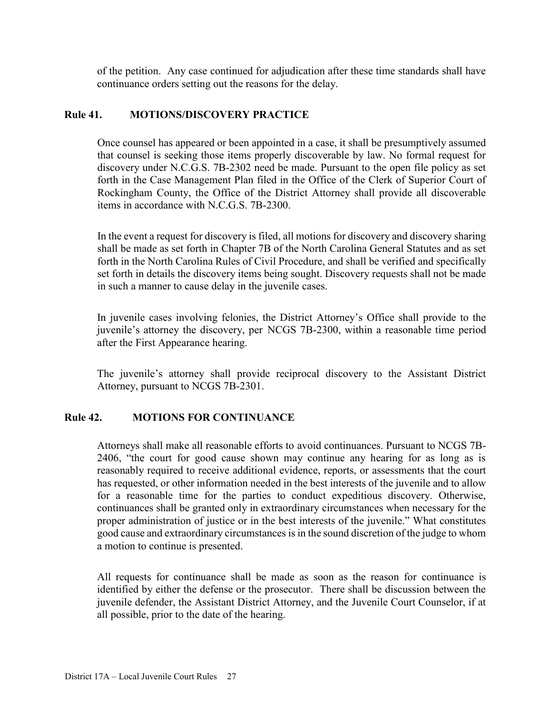of the petition. Any case continued for adjudication after these time standards shall have continuance orders setting out the reasons for the delay.

#### **Rule 41. MOTIONS/DISCOVERY PRACTICE**

Once counsel has appeared or been appointed in a case, it shall be presumptively assumed that counsel is seeking those items properly discoverable by law. No formal request for discovery under N.C.G.S. 7B-2302 need be made. Pursuant to the open file policy as set forth in the Case Management Plan filed in the Office of the Clerk of Superior Court of Rockingham County, the Office of the District Attorney shall provide all discoverable items in accordance with N.C.G.S. 7B-2300.

In the event a request for discovery is filed, all motions for discovery and discovery sharing shall be made as set forth in Chapter 7B of the North Carolina General Statutes and as set forth in the North Carolina Rules of Civil Procedure, and shall be verified and specifically set forth in details the discovery items being sought. Discovery requests shall not be made in such a manner to cause delay in the juvenile cases.

In juvenile cases involving felonies, the District Attorney's Office shall provide to the juvenile's attorney the discovery, per NCGS 7B-2300, within a reasonable time period after the First Appearance hearing.

The juvenile's attorney shall provide reciprocal discovery to the Assistant District Attorney, pursuant to NCGS 7B-2301.

### **Rule 42. MOTIONS FOR CONTINUANCE**

Attorneys shall make all reasonable efforts to avoid continuances. Pursuant to NCGS 7B-2406, "the court for good cause shown may continue any hearing for as long as is reasonably required to receive additional evidence, reports, or assessments that the court has requested, or other information needed in the best interests of the juvenile and to allow for a reasonable time for the parties to conduct expeditious discovery. Otherwise, continuances shall be granted only in extraordinary circumstances when necessary for the proper administration of justice or in the best interests of the juvenile." What constitutes good cause and extraordinary circumstances is in the sound discretion of the judge to whom a motion to continue is presented.

All requests for continuance shall be made as soon as the reason for continuance is identified by either the defense or the prosecutor. There shall be discussion between the juvenile defender, the Assistant District Attorney, and the Juvenile Court Counselor, if at all possible, prior to the date of the hearing.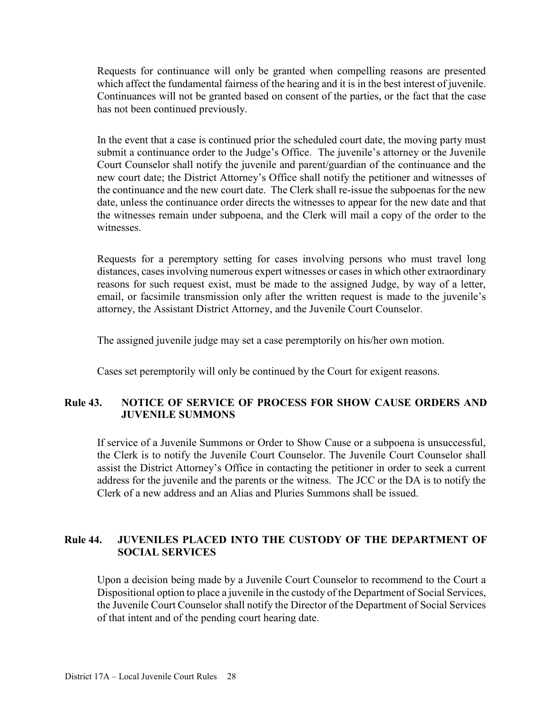Requests for continuance will only be granted when compelling reasons are presented which affect the fundamental fairness of the hearing and it is in the best interest of juvenile. Continuances will not be granted based on consent of the parties, or the fact that the case has not been continued previously.

In the event that a case is continued prior the scheduled court date, the moving party must submit a continuance order to the Judge's Office. The juvenile's attorney or the Juvenile Court Counselor shall notify the juvenile and parent/guardian of the continuance and the new court date; the District Attorney's Office shall notify the petitioner and witnesses of the continuance and the new court date. The Clerk shall re-issue the subpoenas for the new date, unless the continuance order directs the witnesses to appear for the new date and that the witnesses remain under subpoena, and the Clerk will mail a copy of the order to the witnesses.

Requests for a peremptory setting for cases involving persons who must travel long distances, cases involving numerous expert witnesses or cases in which other extraordinary reasons for such request exist, must be made to the assigned Judge, by way of a letter, email, or facsimile transmission only after the written request is made to the juvenile's attorney, the Assistant District Attorney, and the Juvenile Court Counselor.

The assigned juvenile judge may set a case peremptorily on his/her own motion.

Cases set peremptorily will only be continued by the Court for exigent reasons.

#### **Rule 43. NOTICE OF SERVICE OF PROCESS FOR SHOW CAUSE ORDERS AND JUVENILE SUMMONS**

If service of a Juvenile Summons or Order to Show Cause or a subpoena is unsuccessful, the Clerk is to notify the Juvenile Court Counselor. The Juvenile Court Counselor shall assist the District Attorney's Office in contacting the petitioner in order to seek a current address for the juvenile and the parents or the witness. The JCC or the DA is to notify the Clerk of a new address and an Alias and Pluries Summons shall be issued.

### **Rule 44. JUVENILES PLACED INTO THE CUSTODY OF THE DEPARTMENT OF SOCIAL SERVICES**

Upon a decision being made by a Juvenile Court Counselor to recommend to the Court a Dispositional option to place a juvenile in the custody of the Department of Social Services, the Juvenile Court Counselor shall notify the Director of the Department of Social Services of that intent and of the pending court hearing date.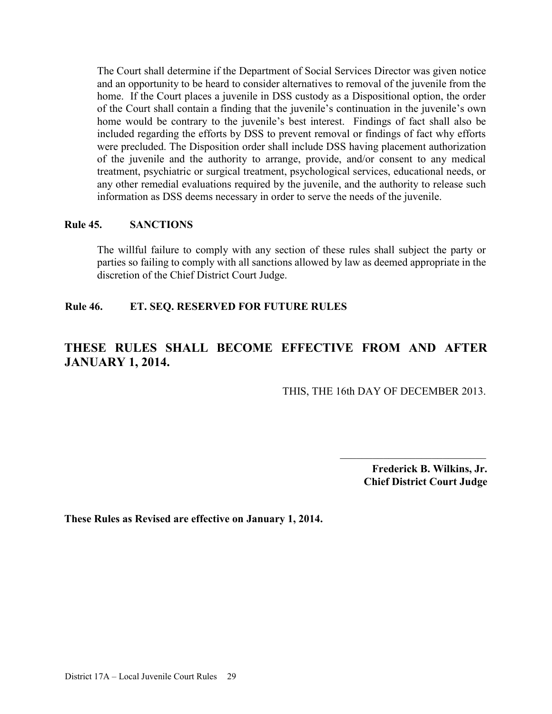The Court shall determine if the Department of Social Services Director was given notice and an opportunity to be heard to consider alternatives to removal of the juvenile from the home. If the Court places a juvenile in DSS custody as a Dispositional option, the order of the Court shall contain a finding that the juvenile's continuation in the juvenile's own home would be contrary to the juvenile's best interest. Findings of fact shall also be included regarding the efforts by DSS to prevent removal or findings of fact why efforts were precluded. The Disposition order shall include DSS having placement authorization of the juvenile and the authority to arrange, provide, and/or consent to any medical treatment, psychiatric or surgical treatment, psychological services, educational needs, or any other remedial evaluations required by the juvenile, and the authority to release such information as DSS deems necessary in order to serve the needs of the juvenile.

#### **Rule 45. SANCTIONS**

The willful failure to comply with any section of these rules shall subject the party or parties so failing to comply with all sanctions allowed by law as deemed appropriate in the discretion of the Chief District Court Judge.

### **Rule 46. ET. SEQ. RESERVED FOR FUTURE RULES**

## **THESE RULES SHALL BECOME EFFECTIVE FROM AND AFTER JANUARY 1, 2014.**

<span id="page-28-0"></span>THIS, THE 16th DAY OF DECEMBER 2013.

**Frederick B. Wilkins, Jr. Chief District Court Judge** 

 $\mathcal{L}_\text{max}$ 

#### **These Rules as Revised are effective on January 1, 2014.**